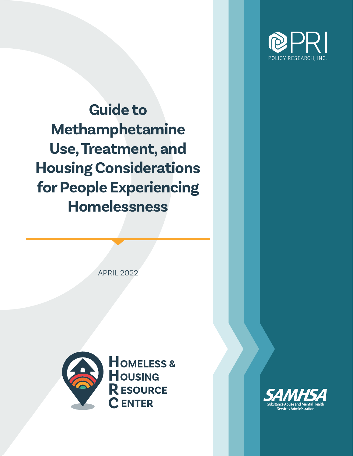

**Guide to Methamphetamine Use, Treatment, and Housing Considerations for People Experiencing Homelessness**

APRIL 2022



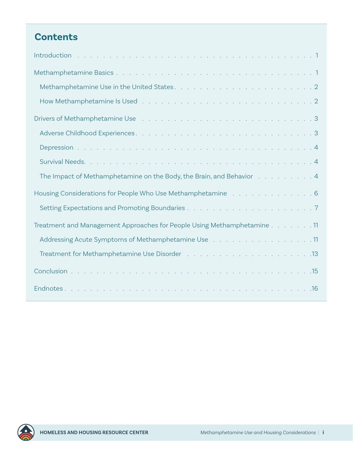## **Contents**

| The Impact of Methamphetamine on the Body, the Brain, and Behavior 4                    |
|-----------------------------------------------------------------------------------------|
| Housing Considerations for People Who Use Methamphetamine Table Reservence National B   |
|                                                                                         |
| Treatment and Management Approaches for People Using Methamphetamine 11                 |
| Addressing Acute Symptoms of Methamphetamine Use 11                                     |
| Treatment for Methamphetamine Use Disorder (Fig. 1, Fig. 1, Fig. 1, Fig. 1, Fig. 13, 13 |
|                                                                                         |
|                                                                                         |

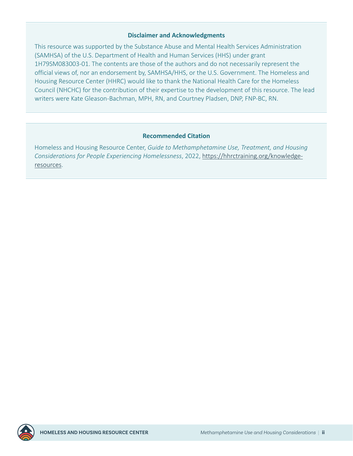#### **Disclaimer and Acknowledgments**

This resource was supported by the Substance Abuse and Mental Health Services Administration (SAMHSA) of the U.S. Department of Health and Human Services (HHS) under grant 1H79SM083003-01. The contents are those of the authors and do not necessarily represent the official views of, nor an endorsement by, SAMHSA/HHS, or the U.S. Government. The Homeless and Housing Resource Center (HHRC) would like to thank the National Health Care for the Homeless Council (NHCHC) for the contribution of their expertise to the development of this resource. The lead writers were Kate Gleason-Bachman, MPH, RN, and Courtney Pladsen, DNP, FNP-BC, RN.

#### **Recommended Citation**

Homeless and Housing Resource Center, *Guide to Methamphetamine Use, Treatment, and Housing Considerations for People Experiencing Homelessness*, 2022, [https://hhrctraining.org/knowledge](https://hhrctraining.org/knowledge-resources)[resources.](https://hhrctraining.org/knowledge-resources)

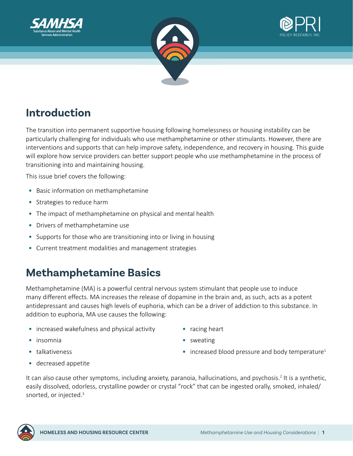<span id="page-3-0"></span>





# **Introduction**

The transition into permanent supportive housing following homelessness or housing instability can be particularly challenging for individuals who use methamphetamine or other stimulants. However, there are interventions and supports that can help improve safety, independence, and recovery in housing. This guide will explore how service providers can better support people who use methamphetamine in the process of transitioning into and maintaining housing.

This issue brief covers the following:

- Basic information on methamphetamine
- Strategies to reduce harm
- The impact of methamphetamine on physical and mental health
- Drivers of methamphetamine use
- Supports for those who are transitioning into or living in housing
- Current treatment modalities and management strategies

# **Methamphetamine Basics**

Methamphetamine (MA) is a powerful central nervous system stimulant that people use to induce many different effects. MA increases the release of dopamine in the brain and, as such, acts as a potent antidepressant and causes high levels of euphoria, which can be a driver of addiction to this substance. In addition to euphoria, MA use causes the following:

- increased wakefulness and physical activity
- insomnia

• talkativeness

- racing heart
- sweating
- increased blood pressure and body temperature<sup>1</sup>

• decreased appetite

It can also cause other symptoms, including anxiety, paranoia, hallucinations, and psychosis.<sup>[2](#page-18-0)</sup> It is a synthetic, easily dissolved, odorless, crystalline powder or crystal "rock" that can be ingested orally, smoked, inhaled/ snorted, or injected.<sup>[3](#page-18-0)</sup>

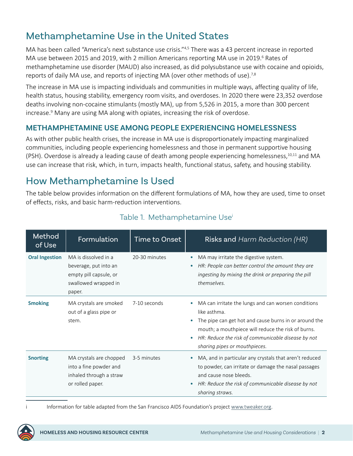## <span id="page-4-0"></span>Methamphetamine Use in the United States

MA has been called "America's next substance use crisis."[4,5](#page-18-0) There was a 43 percent increase in reported MA use between 2015 and 2019, with 2 million Americans reporting MA use in 2019.<sup>6</sup> Rates of methamphetamine use disorder (MAUD) also increased, as did polysubstance use with cocaine and opioids, reports of daily MA use, and reports of injecting MA (over other methods of use).<sup>7,8</sup>

The increase in MA use is impacting individuals and communities in multiple ways, affecting quality of life, health status, housing stability, emergency room visits, and overdoses. In 2020 there were 23,352 overdose deaths involving non-cocaine stimulants (mostly MA), up from 5,526 in 2015, a more than 300 percent increase.<sup>9</sup> Many are using MA along with opiates, increasing the risk of overdose.

#### **METHAMPHETAMINE USE AMONG PEOPLE EXPERIENCING HOMELESSNESS**

As with other public health crises, the increase in MA use is disproportionately impacting marginalized communities, including people experiencing homelessness and those in permanent supportive housing (PSH). Overdose is already a leading cause of death among people experiencing homelessness,  $10,11$  and MA use can increase that risk, which, in turn, impacts health, functional status, safety, and housing stability.

### How Methamphetamine Is Used

The table below provides information on the different formulations of MA, how they are used, time to onset of effects, risks, and basic harm-reduction interventions.

| Method<br>of Use      | Formulation                                                                                               | Time to Onset | Risks and Harm Reduction (HR)                                                                                                                                                                                                                                             |
|-----------------------|-----------------------------------------------------------------------------------------------------------|---------------|---------------------------------------------------------------------------------------------------------------------------------------------------------------------------------------------------------------------------------------------------------------------------|
| <b>Oral Ingestion</b> | MA is dissolved in a<br>beverage, put into an<br>empty pill capsule, or<br>swallowed wrapped in<br>paper. | 20-30 minutes | MA may irritate the digestive system.<br>HR: People can better control the amount they are<br>ingesting by mixing the drink or preparing the pill<br>themselves.                                                                                                          |
| <b>Smoking</b>        | MA crystals are smoked<br>out of a glass pipe or<br>stem.                                                 | 7-10 seconds  | MA can irritate the lungs and can worsen conditions<br>like asthma.<br>The pipe can get hot and cause burns in or around the<br>mouth; a mouthpiece will reduce the risk of burns.<br>HR: Reduce the risk of communicable disease by not<br>sharing pipes or mouthpieces. |
| <b>Snorting</b>       | MA crystals are chopped<br>into a fine powder and<br>inhaled through a straw<br>or rolled paper.          | 3-5 minutes   | MA, and in particular any crystals that aren't reduced<br>to powder, can irritate or damage the nasal passages<br>and cause nose bleeds.<br>HR: Reduce the risk of communicable disease by not<br>sharing straws.                                                         |

#### Table 1. Methamphetamine Use<sup>i</sup>

i Information for table adapted from the San Francisco AIDS Foundation's project [www.tweaker.org.](http://www.tweaker.org)

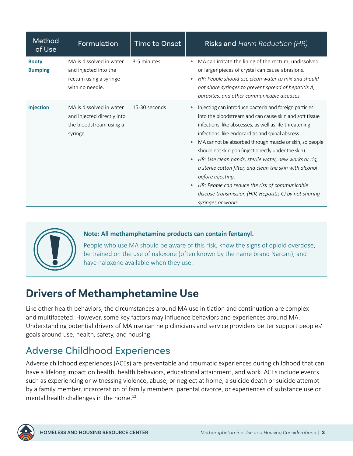<span id="page-5-0"></span>

| Method<br>of Use               | Formulation                                                                                    | <b>Time to Onset</b> | Risks and Harm Reduction (HR)                                                                                                                                                                                                                                                                                                                                                                                                                                                                                                                                                                                                                                                         |
|--------------------------------|------------------------------------------------------------------------------------------------|----------------------|---------------------------------------------------------------------------------------------------------------------------------------------------------------------------------------------------------------------------------------------------------------------------------------------------------------------------------------------------------------------------------------------------------------------------------------------------------------------------------------------------------------------------------------------------------------------------------------------------------------------------------------------------------------------------------------|
| <b>Booty</b><br><b>Bumping</b> | MA is dissolved in water<br>and injected into the<br>rectum using a syringe<br>with no needle. | 3-5 minutes          | MA can irritate the lining of the rectum; undissolved<br>$\bullet$<br>or larger pieces of crystal can cause abrasions.<br>HR: People should use clean water to mix and should<br>$\bullet$<br>not share syringes to prevent spread of hepatitis A,<br>parasites, and other communicable diseases.                                                                                                                                                                                                                                                                                                                                                                                     |
| Injection                      | MA is dissolved in water<br>and injected directly into<br>the bloodstream using a<br>syringe.  | 15-30 seconds        | Injecting can introduce bacteria and foreign particles<br>$\bullet$<br>into the bloodstream and can cause skin and soft tissue<br>infections, like abscesses, as well as life-threatening<br>infections, like endocarditis and spinal abscess.<br>MA cannot be absorbed through muscle or skin, so people<br>$\bullet$<br>should not skin pop (inject directly under the skin).<br>HR: Use clean hands, sterile water, new works or rig,<br>$\bullet$<br>a sterile cotton filter, and clean the skin with alcohol<br>before injecting.<br>HR: People can reduce the risk of communicable<br>$\bullet$<br>disease transmission (HIV, Hepatitis C) by not sharing<br>syringes or works. |



#### **Note: All methamphetamine products can contain fentanyl.**

People who use MA should be aware of this risk, know the signs of opioid overdose, be trained on the use of naloxone (often known by the name brand Narcan), and have naloxone available when they use.

## **Drivers of Methamphetamine Use**

Like other health behaviors, the circumstances around MA use initiation and continuation are complex and multifaceted. However, some key factors may influence behaviors and experiences around MA. Understanding potential drivers of MA use can help clinicians and service providers better support peoples' goals around use, health, safety, and housing.

### Adverse Childhood Experiences

Adverse childhood experiences (ACEs) are preventable and traumatic experiences during childhood that can have a lifelong impact on health, health behaviors, educational attainment, and work. ACEs include events such as experiencing or witnessing violence, abuse, or neglect at home, a suicide death or suicide attempt by a family member, incarceration of family members, parental divorce, or experiences of substance use or mental health challenges in the home.<sup>12</sup>

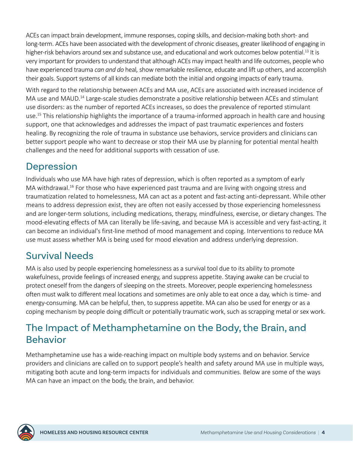<span id="page-6-0"></span>ACEs can impact brain development, immune responses, coping skills, and decision-making both short- and long-term. ACEs have been associated with the development of chronic diseases, greater likelihood of engaging in higher-risk behaviors around sex and substance use, and educational and work outcomes below potential.<sup>13</sup> It is very important for providers to understand that although ACEs may impact health and life outcomes, people who have experienced trauma *can and do* heal*,* show remarkable resilience, educate and lift up others, and accomplish their goals. Support systems of all kinds can mediate both the initial and ongoing impacts of early trauma.

With regard to the relationship between ACEs and MA use, ACEs are associated with increased incidence of MA use and MAUD.<sup>14</sup> Large-scale studies demonstrate a positive relationship between ACEs and stimulant use disorders: as the number of reported ACEs increases, so does the prevalence of reported stimulant use.<sup>15</sup> This relationship highlights the importance of a trauma-informed approach in health care and housing support, one that acknowledges and addresses the impact of past traumatic experiences and fosters healing. By recognizing the role of trauma in substance use behaviors, service providers and clinicians can better support people who want to decrease or stop their MA use by planning for potential mental health challenges and the need for additional supports with cessation of use.

### Depression

Individuals who use MA have high rates of depression, which is often reported as a symptom of early MA withdrawal.<sup>16</sup> For those who have experienced past trauma and are living with ongoing stress and traumatization related to homelessness, MA can act as a potent and fast-acting anti-depressant. While other means to address depression exist, they are often not easily accessed by those experiencing homelessness and are longer-term solutions, including medications, therapy, mindfulness, exercise, or dietary changes. The mood-elevating effects of MA can literally be life-saving, and because MA is accessible and very fast-acting, it can become an individual's first-line method of mood management and coping. Interventions to reduce MA use must assess whether MA is being used for mood elevation and address underlying depression.

### Survival Needs

MA is also used by people experiencing homelessness as a survival tool due to its ability to promote wakefulness, provide feelings of increased energy, and suppress appetite. Staying awake can be crucial to protect oneself from the dangers of sleeping on the streets. Moreover, people experiencing homelessness often must walk to different meal locations and sometimes are only able to eat once a day, which is time- and energy-consuming. MA can be helpful, then, to suppress appetite. MA can also be used for energy or as a coping mechanism by people doing difficult or potentially traumatic work, such as scrapping metal or sex work.

## The Impact of Methamphetamine on the Body, the Brain, and Behavior

Methamphetamine use has a wide-reaching impact on multiple body systems and on behavior. Service providers and clinicians are called on to support people's health and safety around MA use in multiple ways, mitigating both acute and long-term impacts for individuals and communities. Below are some of the ways MA can have an impact on the body, the brain, and behavior.

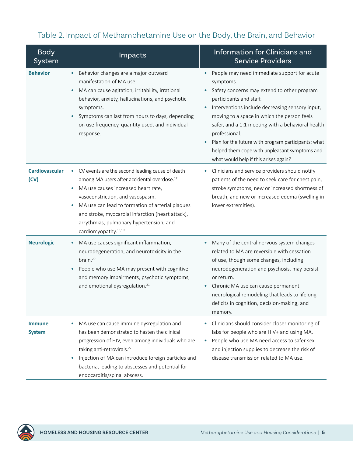#### <span id="page-7-0"></span>Table 2. Impact of Methamphetamine Use on the Body, the Brain, and Behavior

| <b>Body</b><br>System          | Impacts                                                                                                                                                                                                                                                                                                                                                                                              | Information for Clinicians and<br><b>Service Providers</b>                                                                                                                                                                                                                                                                                                                                                                                                                    |
|--------------------------------|------------------------------------------------------------------------------------------------------------------------------------------------------------------------------------------------------------------------------------------------------------------------------------------------------------------------------------------------------------------------------------------------------|-------------------------------------------------------------------------------------------------------------------------------------------------------------------------------------------------------------------------------------------------------------------------------------------------------------------------------------------------------------------------------------------------------------------------------------------------------------------------------|
| <b>Behavior</b>                | Behavior changes are a major outward<br>manifestation of MA use.<br>MA can cause agitation, irritability, irrational<br>$\bullet$<br>behavior, anxiety, hallucinations, and psychotic<br>symptoms.<br>Symptoms can last from hours to days, depending<br>on use frequency, quantity used, and individual<br>response.                                                                                | People may need immediate support for acute<br>symptoms.<br>Safety concerns may extend to other program<br>participants and staff.<br>Interventions include decreasing sensory input,<br>$\bullet$<br>moving to a space in which the person feels<br>safer, and a 1:1 meeting with a behavioral health<br>professional.<br>Plan for the future with program participants: what<br>٠<br>helped them cope with unpleasant symptoms and<br>what would help if this arises again? |
| <b>Cardiovascular</b><br>(CV)  | CV events are the second leading cause of death<br>$\bullet$<br>among MA users after accidental overdose. <sup>17</sup><br>MA use causes increased heart rate,<br>٠<br>vasoconstriction, and vasospasm.<br>MA use can lead to formation of arterial plaques<br>٠<br>and stroke, myocardial infarction (heart attack),<br>arrythmias, pulmonary hypertension, and<br>cardiomyopathy. <sup>18,19</sup> | Clinicians and service providers should notify<br>$\bullet$<br>patients of the need to seek care for chest pain,<br>stroke symptoms, new or increased shortness of<br>breath, and new or increased edema (swelling in<br>lower extremities).                                                                                                                                                                                                                                  |
| <b>Neurologic</b>              | MA use causes significant inflammation,<br>neurodegeneration, and neurotoxicity in the<br>brain. <sup>20</sup><br>People who use MA may present with cognitive<br>and memory impairments, psychotic symptoms,<br>and emotional dysregulation. <sup>21</sup>                                                                                                                                          | Many of the central nervous system changes<br>related to MA are reversible with cessation<br>of use, though some changes, including<br>neurodegeneration and psychosis, may persist<br>or return.<br>Chronic MA use can cause permanent<br>neurological remodeling that leads to lifelong<br>deficits in cognition, decision-making, and<br>memory.                                                                                                                           |
| <b>Immune</b><br><b>System</b> | MA use can cause immune dysregulation and<br>has been demonstrated to hasten the clinical<br>progression of HIV, even among individuals who are<br>taking anti-retrovirals. <sup>22</sup><br>Injection of MA can introduce foreign particles and<br>bacteria, leading to abscesses and potential for<br>endocarditis/spinal abscess.                                                                 | Clinicians should consider closer monitoring of<br>labs for people who are HIV+ and using MA.<br>People who use MA need access to safer sex<br>and injection supplies to decrease the risk of<br>disease transmission related to MA use.                                                                                                                                                                                                                                      |

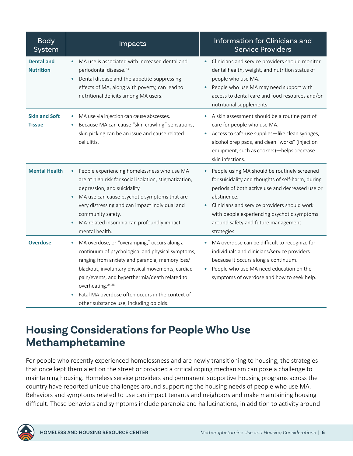<span id="page-8-0"></span>

| <b>Body</b><br>System                 | Impacts                                                                                                                                                                                                                                                                                                                                                                                          | Information for Clinicians and<br><b>Service Providers</b>                                                                                                                                                                                                                                                                            |
|---------------------------------------|--------------------------------------------------------------------------------------------------------------------------------------------------------------------------------------------------------------------------------------------------------------------------------------------------------------------------------------------------------------------------------------------------|---------------------------------------------------------------------------------------------------------------------------------------------------------------------------------------------------------------------------------------------------------------------------------------------------------------------------------------|
| <b>Dental and</b><br><b>Nutrition</b> | MA use is associated with increased dental and<br>periodontal disease. <sup>23</sup><br>Dental disease and the appetite-suppressing<br>effects of MA, along with poverty, can lead to<br>nutritional deficits among MA users.                                                                                                                                                                    | Clinicians and service providers should monitor<br>dental health, weight, and nutrition status of<br>people who use MA.<br>People who use MA may need support with<br>$\bullet$<br>access to dental care and food resources and/or<br>nutritional supplements.                                                                        |
| <b>Skin and Soft</b><br><b>Tissue</b> | MA use via injection can cause abscesses.<br>$\bullet$<br>Because MA can cause "skin crawling" sensations,<br>skin picking can be an issue and cause related<br>cellulitis.                                                                                                                                                                                                                      | A skin assessment should be a routine part of<br>care for people who use MA.<br>Access to safe-use supplies-like clean syringes,<br>$\bullet$<br>alcohol prep pads, and clean "works" (injection<br>equipment, such as cookers)-helps decrease<br>skin infections.                                                                    |
| <b>Mental Health</b>                  | People experiencing homelessness who use MA<br>$\bullet$<br>are at high risk for social isolation, stigmatization,<br>depression, and suicidality.<br>MA use can cause psychotic symptoms that are<br>$\bullet$<br>very distressing and can impact individual and<br>community safety.<br>MA-related insomnia can profoundly impact<br>$\bullet$<br>mental health.                               | People using MA should be routinely screened<br>for suicidality and thoughts of self-harm, during<br>periods of both active use and decreased use or<br>abstinence.<br>Clinicians and service providers should work<br>$\bullet$<br>with people experiencing psychotic symptoms<br>around safety and future management<br>strategies. |
| <b>Overdose</b>                       | MA overdose, or "overamping," occurs along a<br>۰<br>continuum of psychological and physical symptoms,<br>ranging from anxiety and paranoia, memory loss/<br>blackout, involuntary physical movements, cardiac<br>pain/events, and hyperthermia/death related to<br>overheating. <sup>24,25</sup><br>Fatal MA overdose often occurs in the context of<br>other substance use, including opioids. | MA overdose can be difficult to recognize for<br>individuals and clinicians/service providers<br>because it occurs along a continuum.<br>People who use MA need education on the<br>symptoms of overdose and how to seek help.                                                                                                        |

# **Housing Considerations for People Who Use Methamphetamine**

For people who recently experienced homelessness and are newly transitioning to housing, the strategies that once kept them alert on the street or provided a critical coping mechanism can pose a challenge to maintaining housing. Homeless service providers and permanent supportive housing programs across the country have reported unique challenges around supporting the housing needs of people who use MA. Behaviors and symptoms related to use can impact tenants and neighbors and make maintaining housing difficult. These behaviors and symptoms include paranoia and hallucinations, in addition to activity around

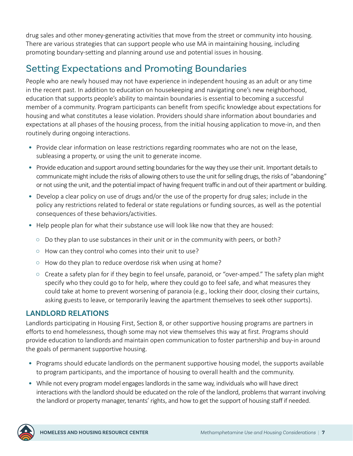<span id="page-9-0"></span>drug sales and other money-generating activities that move from the street or community into housing. There are various strategies that can support people who use MA in maintaining housing, including promoting boundary-setting and planning around use and potential issues in housing.

## Setting Expectations and Promoting Boundaries

People who are newly housed may not have experience in independent housing as an adult or any time in the recent past. In addition to education on housekeeping and navigating one's new neighborhood, education that supports people's ability to maintain boundaries is essential to becoming a successful member of a community. Program participants can benefit from specific knowledge about expectations for housing and what constitutes a lease violation. Providers should share information about boundaries and expectations at all phases of the housing process, from the initial housing application to move-in, and then routinely during ongoing interactions.

- Provide clear information on lease restrictions regarding roommates who are not on the lease, subleasing a property, or using the unit to generate income.
- Provide education and support around setting boundaries for the way they use their unit. Important details to communicate might include the risks of allowing others to use the unit for selling drugs, the risks of "abandoning" or not using the unit, and the potential impact of having frequent traffic in and out of their apartment or building.
- Develop a clear policy on use of drugs and/or the use of the property for drug sales; include in the policy any restrictions related to federal or state regulations or funding sources, as well as the potential consequences of these behaviors/activities.
- Help people plan for what their substance use will look like now that they are housed:
	- $\circ$  Do they plan to use substances in their unit or in the community with peers, or both?
	- How can they control who comes into their unit to use?
	- How do they plan to reduce overdose risk when using at home?
	- Create a safety plan for if they begin to feel unsafe, paranoid, or "over-amped." The safety plan might specify who they could go to for help, where they could go to feel safe, and what measures they could take at home to prevent worsening of paranoia (e.g., locking their door, closing their curtains, asking guests to leave, or temporarily leaving the apartment themselves to seek other supports).

#### **LANDLORD RELATIONS**

Landlords participating in Housing First, Section 8, or other supportive housing programs are partners in efforts to end homelessness, though some may not view themselves this way at first. Programs should provide education to landlords and maintain open communication to foster partnership and buy-in around the goals of permanent supportive housing.

- Programs should educate landlords on the permanent supportive housing model, the supports available to program participants, and the importance of housing to overall health and the community.
- While not every program model engages landlords in the same way, individuals who will have direct interactions with the landlord should be educated on the role of the landlord, problems that warrant involving the landlord or property manager, tenants' rights, and how to get the support of housing staff if needed.

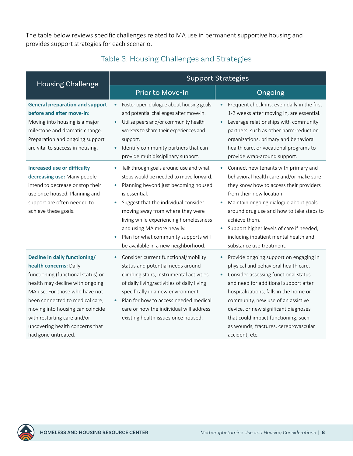The table below reviews specific challenges related to MA use in permanent supportive housing and provides support strategies for each scenario.

| Table 5. Housing Challenges and Strategies                                                                                                                                                                     |                                                                                                                                                                                                                                                                                                                                                                               |                                                                                                                                                                                                                                                                                                                                                                               |  |  |
|----------------------------------------------------------------------------------------------------------------------------------------------------------------------------------------------------------------|-------------------------------------------------------------------------------------------------------------------------------------------------------------------------------------------------------------------------------------------------------------------------------------------------------------------------------------------------------------------------------|-------------------------------------------------------------------------------------------------------------------------------------------------------------------------------------------------------------------------------------------------------------------------------------------------------------------------------------------------------------------------------|--|--|
| <b>Housing Challenge</b>                                                                                                                                                                                       | <b>Support Strategies</b>                                                                                                                                                                                                                                                                                                                                                     |                                                                                                                                                                                                                                                                                                                                                                               |  |  |
|                                                                                                                                                                                                                | Prior to Move-In                                                                                                                                                                                                                                                                                                                                                              | Ongoing                                                                                                                                                                                                                                                                                                                                                                       |  |  |
| <b>General preparation and support</b><br>before and after move-in:<br>Moving into housing is a major<br>milestone and dramatic change.<br>Preparation and ongoing support<br>are vital to success in housing. | Foster open dialogue about housing goals<br>and potential challenges after move-in.<br>Utilize peers and/or community health<br>workers to share their experiences and<br>support.<br>Identify community partners that can<br>provide multidisciplinary support.                                                                                                              | Frequent check-ins, even daily in the first<br>1-2 weeks after moving in, are essential.<br>Leverage relationships with community<br>$\bullet$<br>partners, such as other harm-reduction<br>organizations, primary and behavioral<br>health care, or vocational programs to<br>provide wrap-around support.                                                                   |  |  |
| <b>Increased use or difficulty</b><br>decreasing use: Many people<br>intend to decrease or stop their<br>use once housed. Planning and<br>support are often needed to<br>achieve these goals.                  | Talk through goals around use and what<br>steps would be needed to move forward.<br>Planning beyond just becoming housed<br>is essential.<br>Suggest that the individual consider<br>moving away from where they were<br>living while experiencing homelessness<br>and using MA more heavily.<br>Plan for what community supports will<br>be available in a new neighborhood. | Connect new tenants with primary and<br>behavioral health care and/or make sure<br>they know how to access their providers<br>from their new location.<br>Maintain ongoing dialogue about goals<br>around drug use and how to take steps to<br>achieve them.<br>Support higher levels of care if needed,<br>including inpatient mental health and<br>substance use treatment. |  |  |
| Decline in daily functioning/<br>health concerns: Daily<br>functioning (functional status) or                                                                                                                  | Consider current functional/mobility<br>status and potential needs around<br>climbing stairs, instrumental activities                                                                                                                                                                                                                                                         | Provide ongoing support on engaging in<br>physical and behavioral health care.<br>Consider assessing functional status                                                                                                                                                                                                                                                        |  |  |

#### Table 3: Housing Challenges and Strategies

functioning (functional status) or health may decline with ongoing MA use. For those who have not been connected to medical care, moving into housing can coincide with restarting care and/or uncovering health concerns that had gone untreated.

specifically in a new environment. • Plan for how to access needed medical care or how the individual will address existing health issues once housed.

of daily living/activities of daily living

• Consider assessing functional status and need for additional support after hospitalizations, falls in the home or community, new use of an assistive device, or new significant diagnoses that could impact functioning, such as wounds, fractures, cerebrovascular accident, etc.

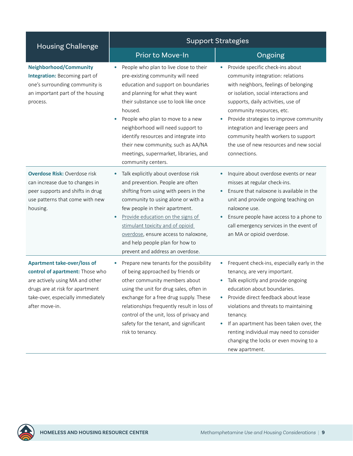| <b>Housing Challenge</b>                                                                                                                                                                           | <b>Support Strategies</b>                                                                                                                                                                                                                                                                                                                                                                                                       |                                                                                                                                                                                                                                                                                                                                                                                                                                        |  |
|----------------------------------------------------------------------------------------------------------------------------------------------------------------------------------------------------|---------------------------------------------------------------------------------------------------------------------------------------------------------------------------------------------------------------------------------------------------------------------------------------------------------------------------------------------------------------------------------------------------------------------------------|----------------------------------------------------------------------------------------------------------------------------------------------------------------------------------------------------------------------------------------------------------------------------------------------------------------------------------------------------------------------------------------------------------------------------------------|--|
|                                                                                                                                                                                                    | Prior to Move-In                                                                                                                                                                                                                                                                                                                                                                                                                | Ongoing                                                                                                                                                                                                                                                                                                                                                                                                                                |  |
| <b>Neighborhood/Community</b><br>Integration: Becoming part of<br>one's surrounding community is<br>an important part of the housing<br>process.                                                   | People who plan to live close to their<br>pre-existing community will need<br>education and support on boundaries<br>and planning for what they want<br>their substance use to look like once<br>housed.<br>People who plan to move to a new<br>neighborhood will need support to<br>identify resources and integrate into<br>their new community, such as AA/NA<br>meetings, supermarket, libraries, and<br>community centers. | Provide specific check-ins about<br>$\bullet$<br>community integration: relations<br>with neighbors, feelings of belonging<br>or isolation, social interactions and<br>supports, daily activities, use of<br>community resources, etc.<br>Provide strategies to improve community<br>$\bullet$<br>integration and leverage peers and<br>community health workers to support<br>the use of new resources and new social<br>connections. |  |
| <b>Overdose Risk: Overdose risk</b><br>can increase due to changes in<br>peer supports and shifts in drug<br>use patterns that come with new<br>housing.                                           | Talk explicitly about overdose risk<br>and prevention. People are often<br>shifting from using with peers in the<br>community to using alone or with a<br>few people in their apartment.<br>Provide education on the signs of<br>stimulant toxicity and of opioid<br>overdose, ensure access to naloxone,<br>and help people plan for how to<br>prevent and address an overdose.                                                | Inquire about overdose events or near<br>$\bullet$<br>misses at regular check-ins.<br>Ensure that naloxone is available in the<br>unit and provide ongoing teaching on<br>naloxone use.<br>Ensure people have access to a phone to<br>$\bullet$<br>call emergency services in the event of<br>an MA or opioid overdose.                                                                                                                |  |
| <b>Apartment take-over/loss of</b><br>control of apartment: Those who<br>are actively using MA and other<br>drugs are at risk for apartment<br>take-over, especially immediately<br>after move-in. | Prepare new tenants for the possibility<br>of being approached by friends or<br>other community members about<br>using the unit for drug sales, often in<br>exchange for a free drug supply. These<br>relationships frequently result in loss of<br>control of the unit, loss of privacy and<br>safety for the tenant, and significant<br>risk to tenancy.                                                                      | Frequent check-ins, especially early in the<br>tenancy, are very important.<br>Talk explicitly and provide ongoing<br>education about boundaries.<br>Provide direct feedback about lease<br>violations and threats to maintaining<br>tenancy.<br>If an apartment has been taken over, the<br>renting individual may need to consider<br>changing the locks or even moving to a<br>new apartment.                                       |  |

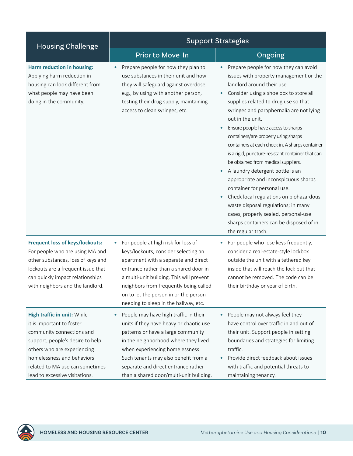| <b>Housing Challenge</b>                                                                                                                                                                                                                                    | <b>Support Strategies</b>                                                                                                                                                                                                                                                                                                                 |                                                                                                                                                                                                                                                                                                                                                                                                                                                                                                                                                                                                                                                                                                                                                                                                                               |  |
|-------------------------------------------------------------------------------------------------------------------------------------------------------------------------------------------------------------------------------------------------------------|-------------------------------------------------------------------------------------------------------------------------------------------------------------------------------------------------------------------------------------------------------------------------------------------------------------------------------------------|-------------------------------------------------------------------------------------------------------------------------------------------------------------------------------------------------------------------------------------------------------------------------------------------------------------------------------------------------------------------------------------------------------------------------------------------------------------------------------------------------------------------------------------------------------------------------------------------------------------------------------------------------------------------------------------------------------------------------------------------------------------------------------------------------------------------------------|--|
|                                                                                                                                                                                                                                                             | Prior to Move-In                                                                                                                                                                                                                                                                                                                          | Ongoing                                                                                                                                                                                                                                                                                                                                                                                                                                                                                                                                                                                                                                                                                                                                                                                                                       |  |
| <b>Harm reduction in housing:</b><br>Applying harm reduction in<br>housing can look different from<br>what people may have been<br>doing in the community.                                                                                                  | Prepare people for how they plan to<br>$\bullet$<br>use substances in their unit and how<br>they will safeguard against overdose,<br>e.g., by using with another person,<br>testing their drug supply, maintaining<br>access to clean syringes, etc.                                                                                      | Prepare people for how they can avoid<br>issues with property management or the<br>landlord around their use.<br>Consider using a shoe box to store all<br>$\bullet$<br>supplies related to drug use so that<br>syringes and paraphernalia are not lying<br>out in the unit.<br>Ensure people have access to sharps<br>containers/are properly using sharps<br>containers at each check-in. A sharps container<br>is a rigid, puncture-resistant container that can<br>be obtained from medical suppliers.<br>A laundry detergent bottle is an<br>appropriate and inconspicuous sharps<br>container for personal use.<br>Check local regulations on biohazardous<br>$\bullet$<br>waste disposal regulations; in many<br>cases, properly sealed, personal-use<br>sharps containers can be disposed of in<br>the regular trash. |  |
| <b>Frequent loss of keys/lockouts:</b><br>For people who are using MA and<br>other substances, loss of keys and<br>lockouts are a frequent issue that<br>can quickly impact relationships<br>with neighbors and the landlord                                | For people at high risk for loss of<br>۰<br>keys/lockouts, consider selecting an<br>apartment with a separate and direct<br>entrance rather than a shared door in<br>a multi-unit building. This will prevent<br>neighbors from frequently being called<br>on to let the person in or the person<br>needing to sleep in the hallway, etc. | For people who lose keys frequently,<br>۰<br>consider a real-estate-style lockbox<br>outside the unit with a tethered key<br>inside that will reach the lock but that<br>cannot be removed. The code can be<br>their birthday or year of birth.                                                                                                                                                                                                                                                                                                                                                                                                                                                                                                                                                                               |  |
| High traffic in unit: While<br>it is important to foster<br>community connections and<br>support, people's desire to help<br>others who are experiencing<br>homelessness and behaviors<br>related to MA use can sometimes<br>lead to excessive visitations. | People may have high traffic in their<br>$\bullet$<br>units if they have heavy or chaotic use<br>patterns or have a large community<br>in the neighborhood where they lived<br>when experiencing homelessness.<br>Such tenants may also benefit from a<br>separate and direct entrance rather<br>than a shared door/multi-unit building.  | People may not always feel they<br>$\bullet$<br>have control over traffic in and out of<br>their unit. Support people in setting<br>boundaries and strategies for limiting<br>traffic.<br>Provide direct feedback about issues<br>with traffic and potential threats to<br>maintaining tenancy.                                                                                                                                                                                                                                                                                                                                                                                                                                                                                                                               |  |

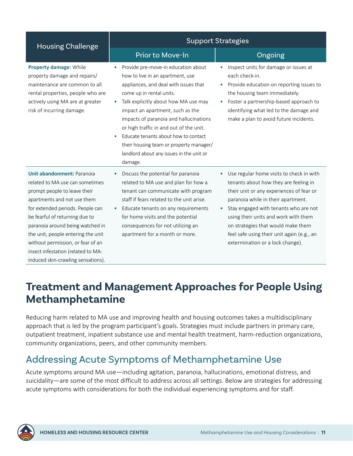<span id="page-13-0"></span>

| <b>Housing Challenge</b>                                                                                                                                                                                                                                                                                                                                | <b>Support Strategies</b>                                                                                                                                                                                                                                                                                                                                                                                                                                                 |                                                                                                                                                                                                                                                                                                                                                                                           |  |
|---------------------------------------------------------------------------------------------------------------------------------------------------------------------------------------------------------------------------------------------------------------------------------------------------------------------------------------------------------|---------------------------------------------------------------------------------------------------------------------------------------------------------------------------------------------------------------------------------------------------------------------------------------------------------------------------------------------------------------------------------------------------------------------------------------------------------------------------|-------------------------------------------------------------------------------------------------------------------------------------------------------------------------------------------------------------------------------------------------------------------------------------------------------------------------------------------------------------------------------------------|--|
|                                                                                                                                                                                                                                                                                                                                                         | Prior to Move-In                                                                                                                                                                                                                                                                                                                                                                                                                                                          | Ongoing                                                                                                                                                                                                                                                                                                                                                                                   |  |
| Property damage: While<br>property damage and repairs/<br>maintenance are common to all<br>rental properties, people who are<br>actively using MA are at greater<br>risk of incurring damage.                                                                                                                                                           | Provide pre-move-in education about<br>how to live in an apartment, use<br>appliances, and deal with issues that<br>come up in rental units.<br>Talk explicitly about how MA use may<br>۰<br>impact an apartment, such as the<br>impacts of paranoia and hallucinations<br>or high traffic in and out of the unit.<br>Educate tenants about how to contact<br>$\bullet$<br>their housing team or property manager/<br>landlord about any issues in the unit or<br>damage. | Inspect units for damage or issues at<br>each check-in.<br>Provide education on reporting issues to<br>$\bullet$<br>the housing team immediately.<br>Foster a partnership-based approach to<br>$\bullet$<br>identifying what led to the damage and<br>make a plan to avoid future incidents.                                                                                              |  |
| Unit abandonment: Paranoia<br>related to MA use can sometimes<br>prompt people to leave their<br>apartments and not use them<br>for extended periods. People can<br>be fearful of returning due to<br>paranoia around being watched in<br>the unit, people entering the unit<br>without permission, or fear of an<br>insect infestation (related to MA- | Discuss the potential for paranoia<br>$\bullet$<br>related to MA use and plan for how a<br>tenant can communicate with program<br>staff if fears related to the unit arise.<br>Educate tenants on any requirements<br>$\bullet$<br>for home visits and the potential<br>consequences for not utilizing an<br>apartment for a month or more.                                                                                                                               | Use regular home visits to check in with<br>$\bullet$<br>tenants about how they are feeling in<br>their unit or any experiences of fear or<br>paranoia while in their apartment.<br>Stay engaged with tenants who are not<br>using their units and work with them<br>on strategies that would make them<br>feel safe using their unit again (e.g., an<br>extermination or a lock change). |  |

## **Treatment and Management Approaches for People Using Methamphetamine**

Reducing harm related to MA use and improving health and housing outcomes takes a multidisciplinary approach that is led by the program participant's goals. Strategies must include partners in primary care, outpatient treatment, inpatient substance use and mental health treatment, harm-reduction organizations, community organizations, peers, and other community members.

### Addressing Acute Symptoms of Methamphetamine Use

Acute symptoms around MA use—including agitation, paranoia, hallucinations, emotional distress, and suicidality—are some of the most difficult to address across all settings. Below are strategies for addressing acute symptoms with considerations for both the individual experiencing symptoms and for staff.



induced skin-crawling sensations).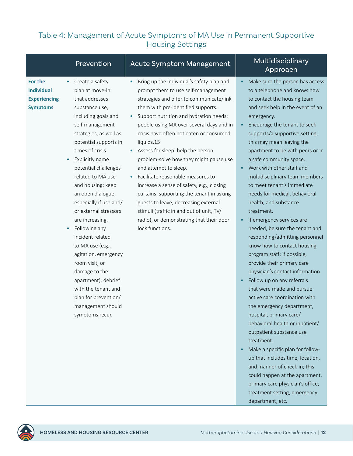#### Table 4: Management of Acute Symptoms of MA Use in Permanent Supportive Housing Settings

|                                                                                     | Prevention                                                                                                                                                                                                                                                                                                                                                                                                                                                                                                         | Acute Symptom Management                                                                                                                                                                                                                                                                                                                                                                                                                                                                                                                                                                                                                                                                                                | Multidisciplinary<br>Approach                                                                                                                                                                                                                                                                                                                                                                                                                                                                                                                                                                                                                                                                                                                      |
|-------------------------------------------------------------------------------------|--------------------------------------------------------------------------------------------------------------------------------------------------------------------------------------------------------------------------------------------------------------------------------------------------------------------------------------------------------------------------------------------------------------------------------------------------------------------------------------------------------------------|-------------------------------------------------------------------------------------------------------------------------------------------------------------------------------------------------------------------------------------------------------------------------------------------------------------------------------------------------------------------------------------------------------------------------------------------------------------------------------------------------------------------------------------------------------------------------------------------------------------------------------------------------------------------------------------------------------------------------|----------------------------------------------------------------------------------------------------------------------------------------------------------------------------------------------------------------------------------------------------------------------------------------------------------------------------------------------------------------------------------------------------------------------------------------------------------------------------------------------------------------------------------------------------------------------------------------------------------------------------------------------------------------------------------------------------------------------------------------------------|
| For the<br><b>Individual</b><br><b>Experiencing</b><br><b>Symptoms</b><br>$\bullet$ | Create a safety<br>plan at move-in<br>that addresses<br>substance use,<br>including goals and<br>self-management<br>strategies, as well as<br>potential supports in<br>times of crisis.<br>Explicitly name<br>potential challenges<br>related to MA use<br>and housing; keep<br>an open dialogue,<br>especially if use and/<br>or external stressors<br>are increasing.<br>Following any<br>incident related<br>to MA use (e.g.,<br>agitation, emergency<br>room visit, or<br>damage to the<br>apartment), debrief | Bring up the individual's safety plan and<br>prompt them to use self-management<br>strategies and offer to communicate/link<br>them with pre-identified supports.<br>Support nutrition and hydration needs:<br>people using MA over several days and in<br>crisis have often not eaten or consumed<br>liquids.15<br>Assess for sleep: help the person<br>$\bullet$<br>problem-solve how they might pause use<br>and attempt to sleep.<br>Facilitate reasonable measures to<br>increase a sense of safety, e.g., closing<br>curtains, supporting the tenant in asking<br>guests to leave, decreasing external<br>stimuli (traffic in and out of unit, TV/<br>radio), or demonstrating that their door<br>lock functions. | Make sure the person has access<br>to a telephone and knows how<br>to contact the housing team<br>and seek help in the event of an<br>emergency.<br>Encourage the tenant to seek<br>supports/a supportive setting;<br>this may mean leaving the<br>apartment to be with peers or in<br>a safe community space.<br>Work with other staff and<br>multidisciplinary team members<br>to meet tenant's immediate<br>needs for medical, behavioral<br>health, and substance<br>treatment.<br>If emergency services are<br>needed, be sure the tenant and<br>responding/admitting personnel<br>know how to contact housing<br>program staff; if possible,<br>provide their primary care<br>physician's contact information.<br>Follow up on any referrals |
|                                                                                     | with the tenant and<br>plan for prevention/<br>management should<br>symptoms recur.                                                                                                                                                                                                                                                                                                                                                                                                                                |                                                                                                                                                                                                                                                                                                                                                                                                                                                                                                                                                                                                                                                                                                                         | that were made and pursue<br>active care coordination with<br>the emergency department,<br>hospital, primary care/<br>behavioral health or inpatient/<br>outpatient substance use<br>treatment.<br>Make a specific plan for follow-<br>up that includes time, location,<br>and manner of check-in; this<br>could happen at the apartment,<br>primary care physician's office,<br>treatment setting, emergency<br>department, etc.                                                                                                                                                                                                                                                                                                                  |

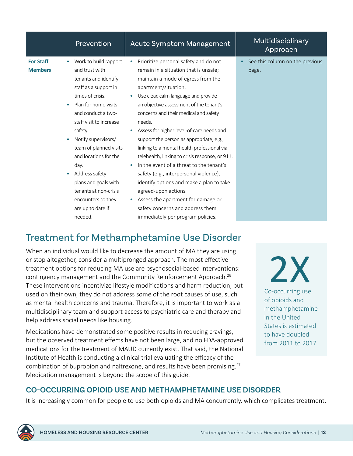<span id="page-15-0"></span>

|                                                                           | Prevention                                                                                                                                                                                                                                                                                                                                                                                                  | <b>Acute Symptom Management</b>                                                                                                                                                                                                                                                                                                                                                                                                                                                                                                                                                                                                                                                                                                                        | Multidisciplinary<br>Approach            |
|---------------------------------------------------------------------------|-------------------------------------------------------------------------------------------------------------------------------------------------------------------------------------------------------------------------------------------------------------------------------------------------------------------------------------------------------------------------------------------------------------|--------------------------------------------------------------------------------------------------------------------------------------------------------------------------------------------------------------------------------------------------------------------------------------------------------------------------------------------------------------------------------------------------------------------------------------------------------------------------------------------------------------------------------------------------------------------------------------------------------------------------------------------------------------------------------------------------------------------------------------------------------|------------------------------------------|
| <b>For Staff</b><br>$\bullet$<br><b>Members</b><br>$\bullet$<br>$\bullet$ | Work to build rapport<br>and trust with<br>tenants and identify<br>staff as a support in<br>times of crisis.<br>Plan for home visits<br>and conduct a two-<br>staff visit to increase<br>safety.<br>Notify supervisors/<br>team of planned visits<br>and locations for the<br>day.<br>Address safety<br>plans and goals with<br>tenants at non-crisis<br>encounters so they<br>are up to date if<br>needed. | Prioritize personal safety and do not<br>remain in a situation that is unsafe;<br>maintain a mode of egress from the<br>apartment/situation.<br>Use clear, calm language and provide<br>an objective assessment of the tenant's<br>concerns and their medical and safety<br>needs.<br>Assess for higher level-of-care needs and<br>support the person as appropriate, e.g.,<br>linking to a mental health professional via<br>telehealth, linking to crisis response, or 911.<br>In the event of a threat to the tenant's<br>safety (e.g., interpersonal violence),<br>identify options and make a plan to take<br>agreed-upon actions.<br>Assess the apartment for damage or<br>safety concerns and address them<br>immediately per program policies. | See this column on the previous<br>page. |

### Treatment for Methamphetamine Use Disorder

When an individual would like to decrease the amount of MA they are using or stop altogether, consider a multipronged approach. The most effective treatment options for reducing MA use are psychosocial-based interventions: contingency management and the Community Reinforcement Approach.<sup>26</sup> These interventions incentivize lifestyle modifications and harm reduction, but used on their own, they do not address some of the root causes of use, such as mental health concerns and trauma. Therefore, it is important to work as a multidisciplinary team and support access to psychiatric care and therapy and help address social needs like housing.

Medications have demonstrated some positive results in reducing cravings, but the observed treatment effects have not been large, and no FDA-approved medications for the treatment of MAUD currently exist. That said, the National Institute of Health is conducting a clinical trial evaluating the efficacy of the combination of bupropion and naltrexone, and results have been promising.<sup>27</sup> Medication management is beyond the scope of this guide.

2X Co-occurring use of opioids and methamphetamine in the United States is estimated to have doubled from 2011 to 2017.

#### **CO-OCCURRING OPIOID USE AND METHAMPHETAMINE USE DISORDER**

It is increasingly common for people to use both opioids and MA concurrently, which complicates treatment,

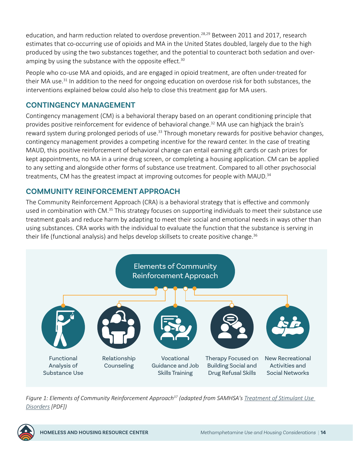<span id="page-16-0"></span>education, and harm reduction related to overdose prevention.<sup>28,29</sup> Between 2011 and 2017, research estimates that co-occurring use of opioids and MA in the United States doubled, largely due to the high produced by using the two substances together, and the potential to counteract both sedation and overamping by using the substance with the opposite effect.<sup>30</sup>

People who co-use MA and opioids, and are engaged in opioid treatment, are often under-treated for their MA use.<sup>[31](#page-20-0)</sup> In addition to the need for ongoing education on overdose risk for both substances, the interventions explained below could also help to close this treatment gap for MA users.

#### **CONTINGENCY MANAGEMENT**

Contingency management (CM) is a behavioral therapy based on an operant conditioning principle that provides positive reinforcement for evidence of behavioral change.<sup>32</sup> MA use can highjack the brain's reward system during prolonged periods of use.<sup>33</sup> Through monetary rewards for positive behavior changes, contingency management provides a competing incentive for the reward center. In the case of treating MAUD, this positive reinforcement of behavioral change can entail earning gift cards or cash prizes for kept appointments, no MA in a urine drug screen, or completing a housing application. CM can be applied to any setting and alongside other forms of substance use treatment. Compared to all other psychosocial treatments, CM has the greatest impact at improving outcomes for people with MAUD. $34$ 

#### **COMMUNITY REINFORCEMENT APPROACH**

The Community Reinforcement Approach (CRA) is a behavioral strategy that is effective and commonly used in combination with CM.<sup>[35](#page-21-0)</sup> This strategy focuses on supporting individuals to meet their substance use treatment goals and reduce harm by adapting to meet their social and emotional needs in ways other than using substances. CRA works with the individual to evaluate the function that the substance is serving in their life (functional analysis) and helps develop skillsets to create positive change.<sup>[36](#page-21-0)</sup>



*Figure 1: Elements of Community Reinforcement Approach[37](#page-21-0) (adapted from SAMHSA's [Treatment of Stimulant Use](https://store.samhsa.gov/sites/default/files/SAMHSA_Digital_Download/PEP20-06-01-001.pdf)  [Disorders](https://store.samhsa.gov/sites/default/files/SAMHSA_Digital_Download/PEP20-06-01-001.pdf) [PDF])*

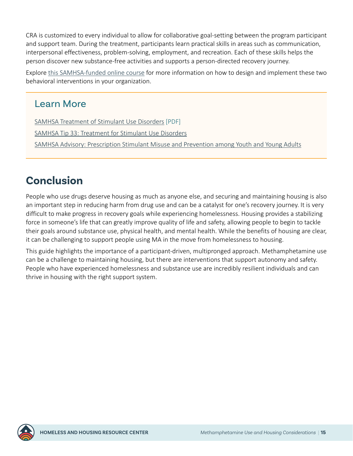<span id="page-17-0"></span>CRA is customized to every individual to allow for collaborative goal-setting between the program participant and support team. During the treatment, participants learn practical skills in areas such as communication, interpersonal effectiveness, problem-solving, employment, and recreation. Each of these skills helps the person discover new substance-free activities and supports a person-directed recovery journey.

Explore [this SAMHSA-funded online course](https://attcnetwork.org/centers/global-attc/product/motivational-incentives-positive-reinforcers-enhance-successful) for more information on how to design and implement these two behavioral interventions in your organization.

#### Learn More

[SAMHSA Treatment of Stimulant Use Disorders](https://store.samhsa.gov/sites/default/files/SAMHSA_Digital_Download/PEP20-06-01-001.pdf) [PDF] [SAMHSA Tip 33: Treatment for Stimulant Use Disorders](https://store.samhsa.gov/product/treatment-for-stimulant-use-disorders/PEP21-02-01-004) [SAMHSA Advisory: Prescription Stimulant Misuse and Prevention among Youth and Young Adults](https://store.samhsa.gov/product/prescription-stimulant-misuse-among-youth-young-adults/PEP21-06-01-003)

# **Conclusion**

People who use drugs deserve housing as much as anyone else, and securing and maintaining housing is also an important step in reducing harm from drug use and can be a catalyst for one's recovery journey. It is very difficult to make progress in recovery goals while experiencing homelessness. Housing provides a stabilizing force in someone's life that can greatly improve quality of life and safety, allowing people to begin to tackle their goals around substance use, physical health, and mental health. While the benefits of housing are clear, it can be challenging to support people using MA in the move from homelessness to housing.

This guide highlights the importance of a participant-driven, multipronged approach. Methamphetamine use can be a challenge to maintaining housing, but there are interventions that support autonomy and safety. People who have experienced homelessness and substance use are incredibly resilient individuals and can thrive in housing with the right support system.

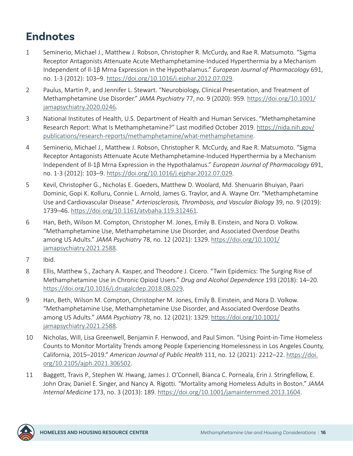# <span id="page-18-0"></span>**Endnotes**

- [1](#page-3-0) Seminerio, Michael J., Matthew J. Robson, Christopher R. McCurdy, and Rae R. Matsumoto. "Sigma Receptor Antagonists Attenuate Acute Methamphetamine-Induced Hyperthermia by a Mechanism Independent of Il-1β Mrna Expression in the Hypothalamus." *European Journal of Pharmacology* 691, no. 1-3 (2012): 103–9. [https://doi.org/10.1016/j.ejphar.2012.07.029.](https://doi.org/10.1016/j.ejphar.2012.07.029)
- [2](#page-3-0) Paulus, Martin P., and Jennifer L. Stewart. "Neurobiology, Clinical Presentation, and Treatment of Methamphetamine Use Disorder." *JAMA Psychiatry* 77, no. 9 (2020): 959. [https://doi.org/10.1001/](https://doi.org/10.1001/jamapsychiatry.2020.0246) [jamapsychiatry.2020.0246.](https://doi.org/10.1001/jamapsychiatry.2020.0246)
- [3](#page-3-0) National Institutes of Health, U.S. Department of Health and Human Services. "Methamphetamine Research Report: What Is Methamphetamine?" Last modified October 2019. [https://nida.nih.gov/](https://nida.nih.gov/publications/research-reports/methamphetamine/what-methamphetamine) [publications/research-reports/methamphetamine/what-methamphetamine](https://nida.nih.gov/publications/research-reports/methamphetamine/what-methamphetamine).
- [4](#page-4-0) Seminerio, Michael J., Matthew J. Robson, Christopher R. McCurdy, and Rae R. Matsumoto. "Sigma Receptor Antagonists Attenuate Acute Methamphetamine-Induced Hyperthermia by a Mechanism Independent of Il-1β Mrna Expression in the Hypothalamus." *European Journal of Pharmacology* 691, no. 1-3 (2012): 103–9. [https://doi.org/10.1016/j.ejphar.2012.07.029.](https://doi.org/10.1016/j.ejphar.2012.07.029)
- [5](#page-4-0) Kevil, Christopher G., Nicholas E. Goeders, Matthew D. Woolard, Md. Shenuarin Bhuiyan, Paari Dominic, Gopi K. Kolluru, Connie L. Arnold, James G. Traylor, and A. Wayne Orr. "Methamphetamine Use and Cardiovascular Disease." *Arteriosclerosis, Thrombosis, and Vascular Biology* 39, no. 9 (2019): 1739–46.<https://doi.org/10.1161/atvbaha.119.312461>.
- [6](#page-4-0) Han, Beth, Wilson M. Compton, Christopher M. Jones, Emily B. Einstein, and Nora D. Volkow. "Methamphetamine Use, Methamphetamine Use Disorder, and Associated Overdose Deaths among US Adults." *JAMA Psychiatry* 78, no. 12 (2021): 1329. [https://doi.org/10.1001/](https://doi.org/10.1001/jamapsychiatry.2021.2588) [jamapsychiatry.2021.2588.](https://doi.org/10.1001/jamapsychiatry.2021.2588)
- [7](#page-4-0) Ibid.
- [8](#page-4-0) Ellis, Matthew S., Zachary A. Kasper, and Theodore J. Cicero. "Twin Epidemics: The Surging Rise of Methamphetamine Use in Chronic Opioid Users." *Drug and Alcohol Dependence* 193 (2018): 14–20. <https://doi.org/10.1016/j.drugalcdep.2018.08.029>.
- [9](#page-4-0) Han, Beth, Wilson M. Compton, Christopher M. Jones, Emily B. Einstein, and Nora D. Volkow. "Methamphetamine Use, Methamphetamine Use Disorder, and Associated Overdose Deaths among US Adults." *JAMA Psychiatry* 78, no. 12 (2021): 1329. [https://doi.org/10.1001/](https://doi.org/10.1001/jamapsychiatry.2021.2588) [jamapsychiatry.2021.2588.](https://doi.org/10.1001/jamapsychiatry.2021.2588)
- [10](#page-4-0) Nicholas, Will, Lisa Greenwell, Benjamin F. Henwood, and Paul Simon. "Using Point-in-Time Homeless Counts to Monitor Mortality Trends among People Experiencing Homelessness in Los Angeles County, California, 2015‒2019." *American Journal of Public Health* 111, no. 12 (2021): 2212–22. [https://doi.](https://doi.org/10.2105/ajph.2021.306502) [org/10.2105/ajph.2021.306502.](https://doi.org/10.2105/ajph.2021.306502)
- [11](#page-4-0) Baggett, Travis P., Stephen W. Hwang, James J. O'Connell, Bianca C. Porneala, Erin J. Stringfellow, E. John Orav, Daniel E. Singer, and Nancy A. Rigotti. "Mortality among Homeless Adults in Boston." *JAMA Internal Medicine* 173, no. 3 (2013): 189. <https://doi.org/10.1001/jamainternmed.2013.1604>.

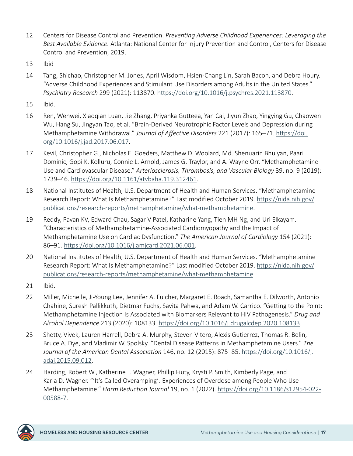- <span id="page-19-0"></span>[12](#page-5-0) Centers for Disease Control and Prevention. *Preventing Adverse Childhood Experiences: Leveraging the Best Available Evidence.* Atlanta: National Center for Injury Prevention and Control, Centers for Disease Control and Prevention, 2019.
- [13](#page-6-0) Ibid
- [14](#page-6-0) Tang, Shichao, Christopher M. Jones, April Wisdom, Hsien-Chang Lin, Sarah Bacon, and Debra Houry. "Adverse Childhood Experiences and Stimulant Use Disorders among Adults in the United States." *Psychiatry Research* 299 (2021): 113870. [https://doi.org/10.1016/j.psychres.2021.113870.](https://doi.org/10.1016/j.psychres.2021.113870)
- [15](#page-6-0) Ibid.
- [16](#page-6-0) Ren, Wenwei, Xiaoqian Luan, Jie Zhang, Priyanka Gutteea, Yan Cai, Jiyun Zhao, Yingying Gu, Chaowen Wu, Hang Su, Jingyan Tao, et al. "Brain-Derived Neurotrophic Factor Levels and Depression during Methamphetamine Withdrawal." *Journal of Affective Disorders* 221 (2017): 165–71. [https://doi.](https://doi.org/10.1016/j.jad.2017.06.017) [org/10.1016/j.jad.2017.06.017](https://doi.org/10.1016/j.jad.2017.06.017).
- [17](#page-7-0) Kevil, Christopher G., Nicholas E. Goeders, Matthew D. Woolard, Md. Shenuarin Bhuiyan, Paari Dominic, Gopi K. Kolluru, Connie L. Arnold, James G. Traylor, and A. Wayne Orr. "Methamphetamine Use and Cardiovascular Disease." *Arteriosclerosis, Thrombosis, and Vascular Biology* 39, no. 9 (2019): 1739–46.<https://doi.org/10.1161/atvbaha.119.312461>.
- [18](#page-7-0) National Institutes of Health, U.S. Department of Health and Human Services. "Methamphetamine Research Report: What Is Methamphetamine?" Last modified October 2019. [https://nida.nih.gov/](https://nida.nih.gov/publications/research-reports/methamphetamine/what-methamphetamine) [publications/research-reports/methamphetamine/what-methamphetamine](https://nida.nih.gov/publications/research-reports/methamphetamine/what-methamphetamine).
- [19](#page-7-0) Reddy, Pavan KV, Edward Chau, Sagar V Patel, Katharine Yang, Tien MH Ng, and Uri Elkayam. "Characteristics of Methamphetamine-Associated Cardiomyopathy and the Impact of Methamphetamine Use on Cardiac Dysfunction." *The American Journal of Cardiology* 154 (2021): 86–91. [https://doi.org/10.1016/j.amjcard.2021.06.001.](https://doi.org/10.1016/j.amjcard.2021.06.001)
- [20](#page-7-0) National Institutes of Health, U.S. Department of Health and Human Services. "Methamphetamine Research Report: What Is Methamphetamine?" Last modified October 2019. [https://nida.nih.gov/](https://nida.nih.gov/publications/research-reports/methamphetamine/what-methamphetamine) [publications/research-reports/methamphetamine/what-methamphetamine](https://nida.nih.gov/publications/research-reports/methamphetamine/what-methamphetamine).
- [21](#page-7-0) Ibid.
- [22](#page-7-0) Miller, Michelle, Ji-Young Lee, Jennifer A. Fulcher, Margaret E. Roach, Samantha E. Dilworth, Antonio Chahine, Suresh Pallikkuth, Dietmar Fuchs, Savita Pahwa, and Adam W. Carrico. "Getting to the Point: Methamphetamine Injection Is Associated with Biomarkers Relevant to HIV Pathogenesis." *Drug and Alcohol Dependence* 213 (2020): 108133.<https://doi.org/10.1016/j.drugalcdep.2020.108133>.
- [23](#page-8-0) Shetty, Vivek, Lauren Harrell, Debra A. Murphy, Steven Vitero, Alexis Gutierrez, Thomas R. Belin, Bruce A. Dye, and Vladimir W. Spolsky. "Dental Disease Patterns in Methamphetamine Users." *The Journal of the American Dental Association* 146, no. 12 (2015): 875–85. [https://doi.org/10.1016/j.](https://doi.org/10.1016/j.adaj.2015.09.012) [adaj.2015.09.012.](https://doi.org/10.1016/j.adaj.2015.09.012)
- [24](#page-8-0) Harding, Robert W., Katherine T. Wagner, Phillip Fiuty, Krysti P. Smith, Kimberly Page, and Karla D. Wagner. "'It's Called Overamping': Experiences of Overdose among People Who Use Methamphetamine." *Harm Reduction Journal* 19, no. 1 (2022). [https://doi.org/10.1186/s12954-022-](https://doi.org/10.1186/s12954-022-00588-7) [00588-7](https://doi.org/10.1186/s12954-022-00588-7).

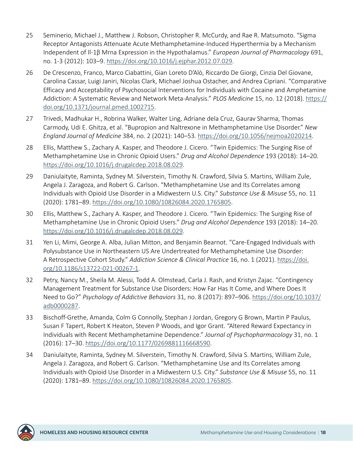- <span id="page-20-0"></span>[25](#page-8-0) Seminerio, Michael J., Matthew J. Robson, Christopher R. McCurdy, and Rae R. Matsumoto. "Sigma Receptor Antagonists Attenuate Acute Methamphetamine-Induced Hyperthermia by a Mechanism Independent of Il-1β Mrna Expression in the Hypothalamus." *European Journal of Pharmacology* 691, no. 1-3 (2012): 103–9. [https://doi.org/10.1016/j.ejphar.2012.07.029.](https://doi.org/10.1016/j.ejphar.2012.07.029)
- [26](#page-15-0) De Crescenzo, Franco, Marco Ciabattini, Gian Loreto D'Alò, Riccardo De Giorgi, Cinzia Del Giovane, Carolina Cassar, Luigi Janiri, Nicolas Clark, Michael Joshua Ostacher, and Andrea Cipriani. "Comparative Efficacy and Acceptability of Psychosocial Interventions for Individuals with Cocaine and Amphetamine Addiction: A Systematic Review and Network Meta-Analysis." *PLOS Medicine* 15, no. 12 (2018). [https://](https://doi.org/10.1371/journal.pmed.1002715) [doi.org/10.1371/journal.pmed.1002715.](https://doi.org/10.1371/journal.pmed.1002715)
- [27](#page-15-0) Trivedi, Madhukar H., Robrina Walker, Walter Ling, Adriane dela Cruz, Gaurav Sharma, Thomas Carmody, Udi E. Ghitza, et al. "Bupropion and Naltrexone in Methamphetamine Use Disorder." *New England Journal of Medicine* 384, no. 2 (2021): 140–53.<https://doi.org/10.1056/nejmoa2020214>.
- [28](#page-16-0) Ellis, Matthew S., Zachary A. Kasper, and Theodore J. Cicero. "Twin Epidemics: The Surging Rise of Methamphetamine Use in Chronic Opioid Users." *Drug and Alcohol Dependence* 193 (2018): 14–20. <https://doi.org/10.1016/j.drugalcdep.2018.08.029>.
- [29](#page-16-0) Daniulaityte, Raminta, Sydney M. Silverstein, Timothy N. Crawford, Silvia S. Martins, William Zule, Angela J. Zaragoza, and Robert G. Carlson. "Methamphetamine Use and Its Correlates among Individuals with Opioid Use Disorder in a Midwestern U.S. City." *Substance Use & Misuse* 55, no. 11 (2020): 1781–89. [https://doi.org/10.1080/10826084.2020.1765805.](https://doi.org/10.1080/10826084.2020.1765805)
- [30](#page-16-0) Ellis, Matthew S., Zachary A. Kasper, and Theodore J. Cicero. "Twin Epidemics: The Surging Rise of Methamphetamine Use in Chronic Opioid Users." *Drug and Alcohol Dependence* 193 (2018): 14–20. <https://doi.org/10.1016/j.drugalcdep.2018.08.029>.
- [31](#page-16-0) Yen Li, Mimi, George A. Alba, Julian Mitton, and Benjamin Bearnot. "Care-Engaged Individuals with Polysubstance Use in Northeastern US Are Undertreated for Methamphetamine Use Disorder: A Retrospective Cohort Study." *Addiction Science & Clinical Practice* 16, no. 1 (2021). [https://doi.](https://doi.org/10.1186/s13722-021-00267-1) [org/10.1186/s13722-021-00267-1](https://doi.org/10.1186/s13722-021-00267-1).
- [32](#page-16-0) Petry, Nancy M., Sheila M. Alessi, Todd A. Olmstead, Carla J. Rash, and Kristyn Zajac. "Contingency Management Treatment for Substance Use Disorders: How Far Has It Come, and Where Does It Need to Go?" *Psychology of Addictive Behaviors* 31, no. 8 (2017): 897–906. [https://doi.org/10.1037/](https://doi.org/10.1037/adb0000287) [adb0000287.](https://doi.org/10.1037/adb0000287)
- [33](#page-16-0) Bischoff-Grethe, Amanda, Colm G Connolly, Stephan J Jordan, Gregory G Brown, Martin P Paulus, Susan F Tapert, Robert K Heaton, Steven P Woods, and Igor Grant. "Altered Reward Expectancy in Individuals with Recent Methamphetamine Dependence." *Journal of Psychopharmacology* 31, no. 1 (2016): 17–30. [https://doi.org/10.1177/0269881116668590.](https://doi.org/10.1177/0269881116668590)
- [34](#page-16-0) Daniulaityte, Raminta, Sydney M. Silverstein, Timothy N. Crawford, Silvia S. Martins, William Zule, Angela J. Zaragoza, and Robert G. Carlson. "Methamphetamine Use and Its Correlates among Individuals with Opioid Use Disorder in a Midwestern U.S. City." *Substance Use & Misuse* 55, no. 11 (2020): 1781–89. [https://doi.org/10.1080/10826084.2020.1765805.](https://doi.org/10.1080/10826084.2020.1765805)